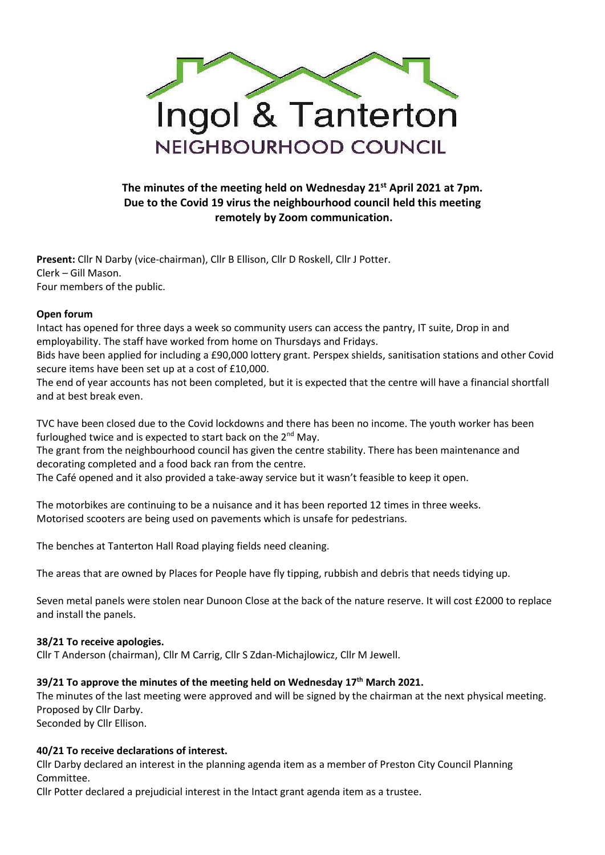

# **The minutes of the meeting held on Wednesday 21st April 2021 at 7pm. Due to the Covid 19 virus the neighbourhood council held this meeting remotely by Zoom communication.**

**Present:** Cllr N Darby (vice-chairman), Cllr B Ellison, Cllr D Roskell, Cllr J Potter. Clerk – Gill Mason. Four members of the public.

## **Open forum**

Intact has opened for three days a week so community users can access the pantry, IT suite, Drop in and employability. The staff have worked from home on Thursdays and Fridays.

Bids have been applied for including a £90,000 lottery grant. Perspex shields, sanitisation stations and other Covid secure items have been set up at a cost of £10,000.

The end of year accounts has not been completed, but it is expected that the centre will have a financial shortfall and at best break even.

TVC have been closed due to the Covid lockdowns and there has been no income. The youth worker has been furloughed twice and is expected to start back on the  $2^{nd}$  May.

The grant from the neighbourhood council has given the centre stability. There has been maintenance and decorating completed and a food back ran from the centre.

The Café opened and it also provided a take-away service but it wasn't feasible to keep it open.

The motorbikes are continuing to be a nuisance and it has been reported 12 times in three weeks. Motorised scooters are being used on pavements which is unsafe for pedestrians.

The benches at Tanterton Hall Road playing fields need cleaning.

The areas that are owned by Places for People have fly tipping, rubbish and debris that needs tidying up.

Seven metal panels were stolen near Dunoon Close at the back of the nature reserve. It will cost £2000 to replace and install the panels.

#### **38/21 To receive apologies.**

Cllr T Anderson (chairman), Cllr M Carrig, Cllr S Zdan-Michajlowicz, Cllr M Jewell.

#### **39/21 To approve the minutes of the meeting held on Wednesday 17th March 2021.**

The minutes of the last meeting were approved and will be signed by the chairman at the next physical meeting. Proposed by Cllr Darby.

Seconded by Cllr Ellison.

#### **40/21 To receive declarations of interest.**

Cllr Darby declared an interest in the planning agenda item as a member of Preston City Council Planning Committee.

Cllr Potter declared a prejudicial interest in the Intact grant agenda item as a trustee.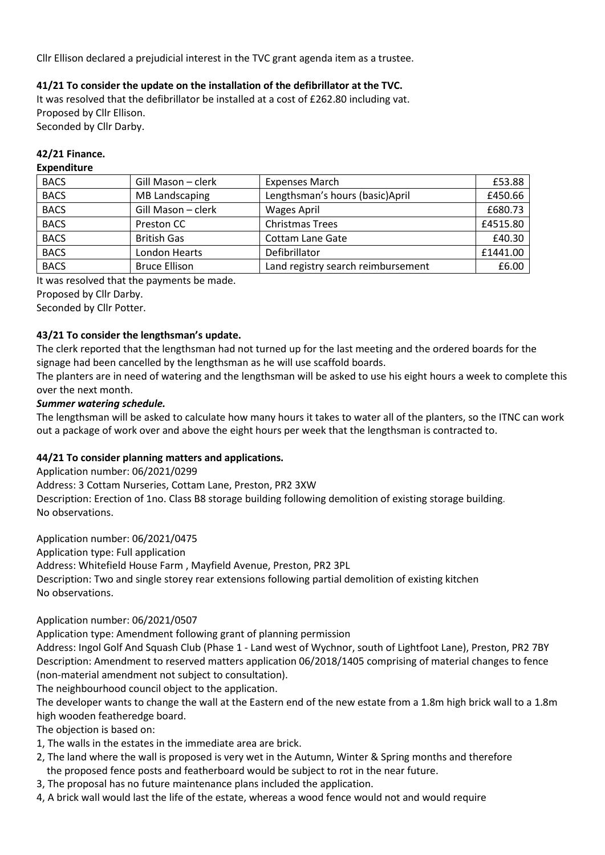Cllr Ellison declared a prejudicial interest in the TVC grant agenda item as a trustee.

# **41/21 To consider the update on the installation of the defibrillator at the TVC.**

It was resolved that the defibrillator be installed at a cost of £262.80 including vat. Proposed by Cllr Ellison. Seconded by Cllr Darby.

# **42/21 Finance.**

# **Expenditure**

| <b>BACS</b> | Gill Mason - clerk   | <b>Expenses March</b>              | £53.88   |
|-------------|----------------------|------------------------------------|----------|
| <b>BACS</b> | MB Landscaping       | Lengthsman's hours (basic) April   | £450.66  |
| <b>BACS</b> | Gill Mason - clerk   | <b>Wages April</b>                 | £680.73  |
| <b>BACS</b> | Preston CC           | <b>Christmas Trees</b>             | £4515.80 |
| <b>BACS</b> | <b>British Gas</b>   | <b>Cottam Lane Gate</b>            | £40.30   |
| <b>BACS</b> | London Hearts        | Defibrillator                      | £1441.00 |
| <b>BACS</b> | <b>Bruce Ellison</b> | Land registry search reimbursement | £6.00    |

It was resolved that the payments be made.

Proposed by Cllr Darby.

Seconded by Cllr Potter.

# **43/21 To consider the lengthsman's update.**

The clerk reported that the lengthsman had not turned up for the last meeting and the ordered boards for the signage had been cancelled by the lengthsman as he will use scaffold boards.

The planters are in need of watering and the lengthsman will be asked to use his eight hours a week to complete this over the next month.

## *Summer watering schedule.*

The lengthsman will be asked to calculate how many hours it takes to water all of the planters, so the ITNC can work out a package of work over and above the eight hours per week that the lengthsman is contracted to.

# **44/21 To consider planning matters and applications.**

Application number: 06/2021/0299

Address: 3 Cottam Nurseries, Cottam Lane, Preston, PR2 3XW

Description: Erection of 1no. Class B8 storage building following demolition of existing storage building. No observations.

Application number: 06/2021/0475

Application type: Full application

Address: Whitefield House Farm , Mayfield Avenue, Preston, PR2 3PL

Description: Two and single storey rear extensions following partial demolition of existing kitchen No observations.

#### Application number: 06/2021/0507

Application type: Amendment following grant of planning permission

Address: Ingol Golf And Squash Club (Phase 1 - Land west of Wychnor, south of Lightfoot Lane), Preston, PR2 7BY Description: Amendment to reserved matters application 06/2018/1405 comprising of material changes to fence (non-material amendment not subject to consultation).

The neighbourhood council object to the application.

The developer wants to change the wall at the Eastern end of the new estate from a 1.8m high brick wall to a 1.8m high wooden featheredge board.

The objection is based on:

- 1, The walls in the estates in the immediate area are brick.
- 2, The land where the wall is proposed is very wet in the Autumn, Winter & Spring months and therefore the proposed fence posts and featherboard would be subject to rot in the near future.
- 3, The proposal has no future maintenance plans included the application.
- 4, A brick wall would last the life of the estate, whereas a wood fence would not and would require